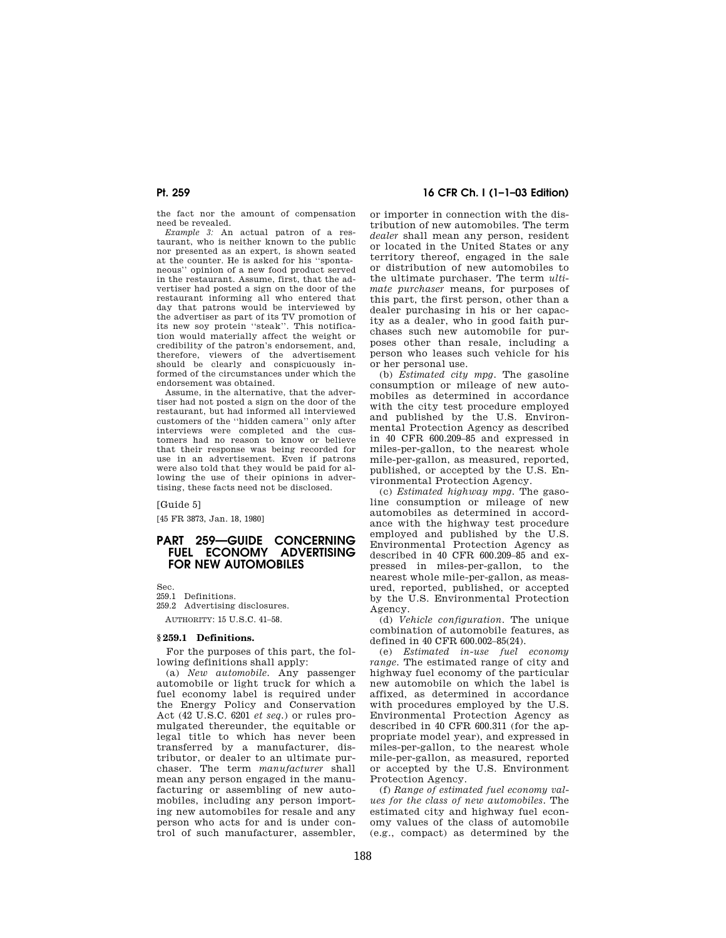the fact nor the amount of compensation need be revealed.

*Example 3:* An actual patron of a res-taurant, who is neither known to the public nor presented as an expert, is shown seated at the counter. He is asked for his ''spontaneous'' opinion of a new food product served in the restaurant. Assume, first, that the advertiser had posted a sign on the door of the restaurant informing all who entered that day that patrons would be interviewed by the advertiser as part of its TV promotion of its new soy protein ''steak''. This notification would materially affect the weight or credibility of the patron's endorsement, and, therefore, viewers of the advertisement should be clearly and conspicuously informed of the circumstances under which the endorsement was obtained.

Assume, in the alternative, that the advertiser had not posted a sign on the door of the restaurant, but had informed all interviewed customers of the ''hidden camera'' only after interviews were completed and the customers had no reason to know or believe that their response was being recorded for use in an advertisement. Even if patrons were also told that they would be paid for allowing the use of their opinions in advertising, these facts need not be disclosed.

[Guide 5]

[45 FR 3873, Jan. 18, 1980]

# **PART 259—GUIDE CONCERNING FUEL ECONOMY ADVERTISING FOR NEW AUTOMOBILES**

Sec.

259.1 Definitions.

259.2 Advertising disclosures. AUTHORITY: 15 U.S.C. 41–58.

# **§ 259.1 Definitions.**

For the purposes of this part, the following definitions shall apply:

(a) *New automobile.* Any passenger automobile or light truck for which a fuel economy label is required under the Energy Policy and Conservation Act (42 U.S.C. 6201 *et seq.*) or rules promulgated thereunder, the equitable or legal title to which has never been transferred by a manufacturer, distributor, or dealer to an ultimate purchaser. The term *manufacturer* shall mean any person engaged in the manufacturing or assembling of new automobiles, including any person importing new automobiles for resale and any person who acts for and is under control of such manufacturer, assembler,

# **Pt. 259 16 CFR Ch. I (1–1–03 Edition)**

or importer in connection with the distribution of new automobiles. The term *dealer* shall mean any person, resident or located in the United States or any territory thereof, engaged in the sale or distribution of new automobiles to the ultimate purchaser. The term *ultimate purchaser* means, for purposes of this part, the first person, other than a dealer purchasing in his or her capacity as a dealer, who in good faith purchases such new automobile for purposes other than resale, including a person who leases such vehicle for his or her personal use.

(b) *Estimated city mpg.* The gasoline consumption or mileage of new automobiles as determined in accordance with the city test procedure employed and published by the U.S. Environmental Protection Agency as described in 40 CFR 600.209–85 and expressed in miles-per-gallon, to the nearest whole mile-per-gallon, as measured, reported, published, or accepted by the U.S. Environmental Protection Agency.

(c) *Estimated highway mpg.* The gasoline consumption or mileage of new automobiles as determined in accordance with the highway test procedure employed and published by the U.S. Environmental Protection Agency as described in 40 CFR 600.209–85 and expressed in miles-per-gallon, to the nearest whole mile-per-gallon, as measured, reported, published, or accepted by the U.S. Environmental Protection Agency.

(d) *Vehicle configuration.* The unique combination of automobile features, as defined in 40 CFR 600.002–85(24).

(e) *Estimated in-use fuel economy range.* The estimated range of city and highway fuel economy of the particular new automobile on which the label is affixed, as determined in accordance with procedures employed by the U.S. Environmental Protection Agency as described in 40 CFR 600.311 (for the appropriate model year), and expressed in miles-per-gallon, to the nearest whole mile-per-gallon, as measured, reported or accepted by the U.S. Environment Protection Agency.

(f) *Range of estimated fuel economy values for the class of new automobiles.* The estimated city and highway fuel economy values of the class of automobile (e.g., compact) as determined by the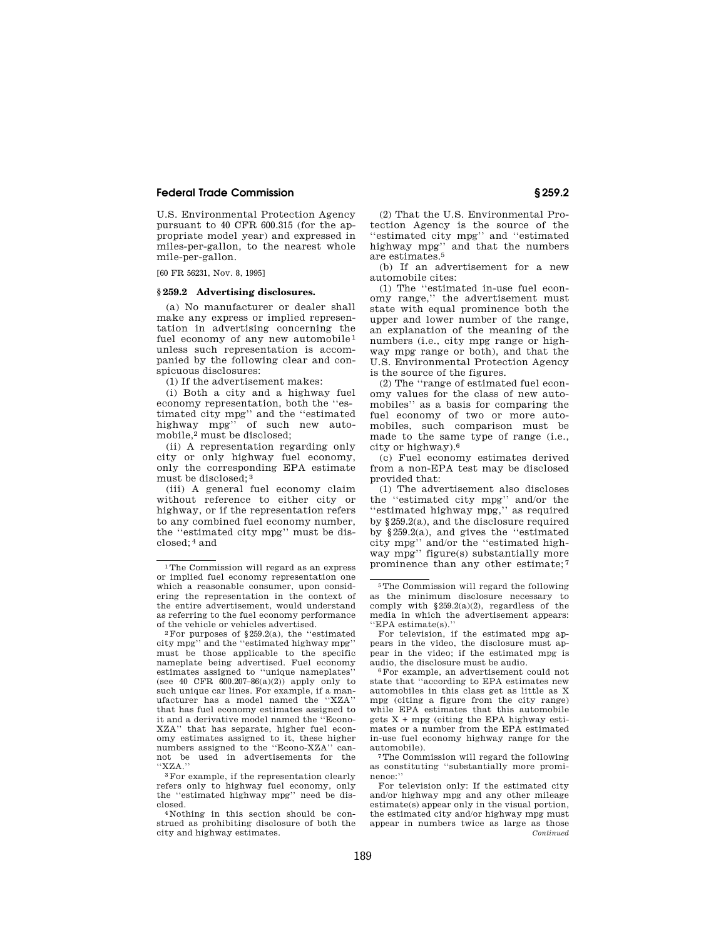### **Federal Trade Commission § 259.2**

U.S. Environmental Protection Agency pursuant to 40 CFR 600.315 (for the appropriate model year) and expressed in miles-per-gallon, to the nearest whole mile-per-gallon.

[60 FR 56231, Nov. 8, 1995]

#### **§ 259.2 Advertising disclosures.**

(a) No manufacturer or dealer shall make any express or implied representation in advertising concerning the fuel economy of any new automobile 1 unless such representation is accompanied by the following clear and conspicuous disclosures:

(1) If the advertisement makes:

(i) Both a city and a highway fuel economy representation, both the ''estimated city mpg'' and the ''estimated highway mpg'' of such new automobile,2 must be disclosed;

(ii) A representation regarding only city or only highway fuel economy, only the corresponding EPA estimate must be disclosed; 3

(iii) A general fuel economy claim without reference to either city or highway, or if the representation refers to any combined fuel economy number, the ''estimated city mpg'' must be disclosed; 4 and

(2) That the U.S. Environmental Protection Agency is the source of the ''estimated city mpg'' and ''estimated highway mpg'' and that the numbers are estimates.5

(b) If an advertisement for a new automobile cites:

(1) The ''estimated in-use fuel economy range,'' the advertisement must state with equal prominence both the upper and lower number of the range, an explanation of the meaning of the numbers (i.e., city mpg range or highway mpg range or both), and that the U.S. Environmental Protection Agency is the source of the figures.

(2) The ''range of estimated fuel economy values for the class of new automobiles'' as a basis for comparing the fuel economy of two or more automobiles, such comparison must be made to the same type of range (i.e., city or highway).6

(c) Fuel economy estimates derived from a non-EPA test may be disclosed provided that:

(1) The advertisement also discloses the ''estimated city mpg'' and/or the ''estimated highway mpg,'' as required by §259.2(a), and the disclosure required by §259.2(a), and gives the ''estimated city mpg'' and/or the ''estimated highway mpg'' figure(s) substantially more prominence than any other estimate; 7

6For example, an advertisement could not state that ''according to EPA estimates new automobiles in this class get as little as X mpg (citing a figure from the city range) while EPA estimates that this automobile gets  $X + mpg$  (citing the EPA highway estimates or a number from the EPA estimated in-use fuel economy highway range for the automobile).

7The Commission will regard the following as constituting ''substantially more prominence:''

For television only: If the estimated city and/or highway mpg and any other mileage estimate(s) appear only in the visual portion, the estimated city and/or highway mpg must appear in numbers twice as large as those *Continued*

<sup>1</sup>The Commission will regard as an express or implied fuel economy representation one which a reasonable consumer, upon considering the representation in the context of the entire advertisement, would understand as referring to the fuel economy performance of the vehicle or vehicles advertised.

 $2$ For purposes of §259.2(a), the "estimated" city mpg'' and the ''estimated highway mpg'' must be those applicable to the specific nameplate being advertised. Fuel economy estimates assigned to ''unique nameplates'' (see 40 CFR  $600.207 - 86(a)(2)$ ) apply only to such unique car lines. For example, if a manufacturer has a model named the ''XZA'' that has fuel economy estimates assigned to it and a derivative model named the ''Econo-XZA'' that has separate, higher fuel economy estimates assigned to it, these higher numbers assigned to the ''Econo-XZA'' cannot be used in advertisements for the ''XZA.''

<sup>3</sup>For example, if the representation clearly refers only to highway fuel economy, only the ''estimated highway mpg'' need be disclosed.

<sup>4</sup> Nothing in this section should be construed as prohibiting disclosure of both the city and highway estimates.

<sup>5</sup>The Commission will regard the following as the minimum disclosure necessary to comply with §259.2(a)(2), regardless of the media in which the advertisement appears: ''EPA estimate(s).''

For television, if the estimated mpg appears in the video, the disclosure must appear in the video; if the estimated mpg is audio, the disclosure must be audio.